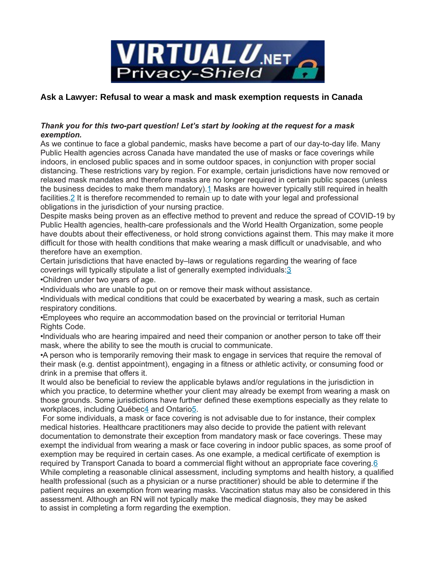

## **Ask a Lawyer: Refusal to wear a mask and mask exemption requests in Canada**

## *Thank you for this two-part question! Let's start by looking at the request for a mask exemption.*

As we continue to face a global pandemic, masks have become a part of our day-to-day life. Many Public Health agencies across Canada have mandated the use of masks or face coverings while indoors, in enclosed public spaces and in some outdoor spaces, in conjunction with proper social distancing. These restrictions vary by region. For example, certain jurisdictions have now removed or relaxed mask mandates and therefore masks are no longer required in certain public spaces (unless the business decides to make them mandatory)[.1](https://cnps.ca/article/mask-exemptions/#id1) Masks are however typically still required in health facilities. 2 It is therefore recommended to remain up to date with your legal and professional obligations in the jurisdiction of your nursing practice.

Despite masks being proven as an effective method to prevent and reduce the spread of COVID-19 by Public Health agencies, health-care professionals and the World Health Organization, some people have doubts about their effectiveness, or hold strong convictions against them. This may make it more difficult for those with health conditions that make wearing a mask difficult or unadvisable, and who therefore have an exemption.

Certain jurisdictions that have enacted by–laws or regulations regarding the wearing of face coverings will typically stipulate a list of generally exempted individuals[:3](https://cnps.ca/article/mask-exemptions/#id3)

•Children under two years of age.

•Individuals who are unable to put on or remove their mask without assistance.

•Individuals with medical conditions that could be exacerbated by wearing a mask, such as certain respiratory conditions.

•Employees who require an accommodation based on the provincial or territorial Human Rights Code.

•Individuals who are hearing impaired and need their companion or another person to take off their mask, where the ability to see the mouth is crucial to communicate.

•A person who is temporarily removing their mask to engage in services that require the removal of their mask (e.g. dentist appointment), engaging in a fitness or athletic activity, or consuming food or drink in a premise that offers it.

It would also be beneficial to review the applicable bylaws and/or regulations in the jurisdiction in which you practice, to determine whether your client may already be exempt from wearing a mask on those grounds. Some jurisdictions have further defined these exemptions especially as they relate to workplaces, including Québe[c4](https://cnps.ca/article/mask-exemptions/#id4) and Ontari[o5.](https://cnps.ca/article/mask-exemptions/#id5)

For some individuals, a mask or face covering is not advisable due to for instance, their complex medical histories. Healthcare practitioners may also decide to provide the patient with relevant documentation to demonstrate their exception from mandatory mask or face coverings. These may exempt the individual from wearing a mask or face covering in indoor public spaces, as some proof of exemption may be required in certain cases. As one example, a medical certificate of exemption is required by Transport Canada to board a commercial flight without an appropriate face covering[.6](https://cnps.ca/article/mask-exemptions/#id6) While completing a reasonable clinical assessment, including symptoms and health history, a qualified health professional (such as a physician or a nurse practitioner) should be able to determine if the patient requires an exemption from wearing masks. Vaccination status may also be considered in this assessment. Although an RN will not typically make the medical diagnosis, they may be asked to assist in completing a form regarding the exemption.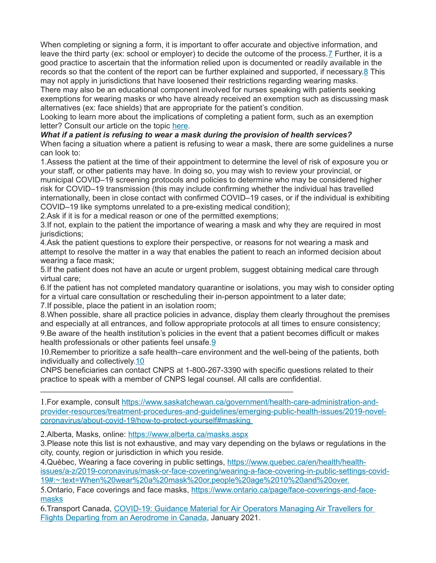When completing or signing a form, it is important to offer accurate and objective information, and leave the third party (ex: school or employer) to decide the outcome of the process[.7](https://cnps.ca/article/mask-exemptions/#id7) Further, it is a good practice to ascertain that the information relied upon is documented or readily available in the records so that the content of the report can be further explained and supported, if necessary[.8](https://cnps.ca/article/mask-exemptions/#id8) This may not apply in jurisdictions that have loosened their restrictions regarding wearing masks.

There may also be an educational component involved for nurses speaking with patients seeking exemptions for wearing masks or who have already received an exemption such as discussing mask alternatives (ex: face shields) that are appropriate for the patient's condition.

Looking to learn more about the implications of completing a patient form, such as an exemption letter? Consult our article on the topic [here.](https://cnps.ca/article/are-you-aware-of-the-implications-of-completing-a-patient-form/)

## *What if a patient is refusing to wear a mask during the provision of health services?*

When facing a situation where a patient is refusing to wear a mask, there are some guidelines a nurse can look to:

1.Assess the patient at the time of their appointment to determine the level of risk of exposure you or your staff, or other patients may have. In doing so, you may wish to review your provincial, or municipal COVID–19 screening protocols and policies to determine who may be considered higher risk for COVID–19 transmission (this may include confirming whether the individual has travelled internationally, been in close contact with confirmed COVID–19 cases, or if the individual is exhibiting COVID–19 like symptoms unrelated to a pre-existing medical condition);

2.Ask if it is for a medical reason or one of the permitted exemptions;

3.If not, explain to the patient the importance of wearing a mask and why they are required in most jurisdictions;

4.Ask the patient questions to explore their perspective, or reasons for not wearing a mask and attempt to resolve the matter in a way that enables the patient to reach an informed decision about wearing a face mask;

5.If the patient does not have an acute or urgent problem, suggest obtaining medical care through virtual care;

6.If the patient has not completed mandatory quarantine or isolations, you may wish to consider opting for a virtual care consultation or rescheduling their in-person appointment to a later date; 7.If possible, place the patient in an isolation room;

8.When possible, share all practice policies in advance, display them clearly throughout the premises and especially at all entrances, and follow appropriate protocols at all times to ensure consistency; 9.Be aware of the health institution's policies in the event that a patient becomes difficult or makes health professionals or other patients feel unsafe[.9](https://cnps.ca/article/mask-exemptions/#id9)

10.Remember to prioritize a safe health–care environment and the well-being of the patients, both individually and collectively[.10](https://cnps.ca/article/mask-exemptions/#id10)

CNPS beneficiaries can contact CNPS at 1-800-267-3390 with specific questions related to their practice to speak with a member of CNPS legal counsel. All calls are confidential.

1.For example, consult [https://www.saskatchewan.ca/government/health-care-administration-and](https://www.saskatchewan.ca/government/health-care-administration-and-provider-resources/treatment-procedures-and-guidelines/emerging-public-health-issues/2019-novel-coronavirus/about-covid-19/how-to-protect-yourself#masking)[provider-resources/treatment-procedures-and-guidelines/emerging-public-health-issues/2019-novel](https://www.saskatchewan.ca/government/health-care-administration-and-provider-resources/treatment-procedures-and-guidelines/emerging-public-health-issues/2019-novel-coronavirus/about-covid-19/how-to-protect-yourself#masking)  [coronavirus/about-covid-19/how-to-protect-yourself#masking](https://www.saskatchewan.ca/government/health-care-administration-and-provider-resources/treatment-procedures-and-guidelines/emerging-public-health-issues/2019-novel-coronavirus/about-covid-19/how-to-protect-yourself#masking)

2.Alberta, Masks, online: <https://www.alberta.ca/masks.aspx>

 $\mathcal{L}_\text{max}$  and  $\mathcal{L}_\text{max}$  and  $\mathcal{L}_\text{max}$  and  $\mathcal{L}_\text{max}$  and  $\mathcal{L}_\text{max}$  and  $\mathcal{L}_\text{max}$ 

3.Please note this list is not exhaustive, and may vary depending on the bylaws or regulations in the city, county, region or jurisdiction in which you reside.

4.Québec, Wearing a face covering in public settings, [https://www.quebec.ca/en/health/health](https://www.quebec.ca/en/health/health-issues/a-z/2019-coronavirus/mask-or-face-covering/wearing-a-face-covering-in-public-settings-covid-19#:~:text=When%20wear%20a%20mask%20or,people%20age%2010%20and%20over.)[issues/a-z/2019-coronavirus/mask-or-face-covering/wearing-a-face-covering-in-public-settings-covid-](https://www.quebec.ca/en/health/health-issues/a-z/2019-coronavirus/mask-or-face-covering/wearing-a-face-covering-in-public-settings-covid-19#:~:text=When%20wear%20a%20mask%20or,people%20age%2010%20and%20over.)[19#:~:text=When%20wear%20a%20mask%20or,people%20age%2010%20and%20over.](https://www.quebec.ca/en/health/health-issues/a-z/2019-coronavirus/mask-or-face-covering/wearing-a-face-covering-in-public-settings-covid-19#:~:text=When%20wear%20a%20mask%20or,people%20age%2010%20and%20over.)

5.Ontario, Face coverings and face masks, [https://www.ontario.ca/page/face-coverings-and-face](https://www.ontario.ca/page/face-coverings-and-face-masks)[masks](https://www.ontario.ca/page/face-coverings-and-face-masks)

6.Transport Canada, [COVID-19: Guidance Material for Air Operators Managing Air Travellers for](https://tc.canada.ca/en/initiatives/covid-19-measures-updates-guidance-issued-transport-canada/covid-19-guidance-material-air-operators-managing-air-travellers-flights-departing-aerodrome-canada#annexe)  [Flights Departing from an Aerodrome in Canada,](https://tc.canada.ca/en/initiatives/covid-19-measures-updates-guidance-issued-transport-canada/covid-19-guidance-material-air-operators-managing-air-travellers-flights-departing-aerodrome-canada#annexe) January 2021.